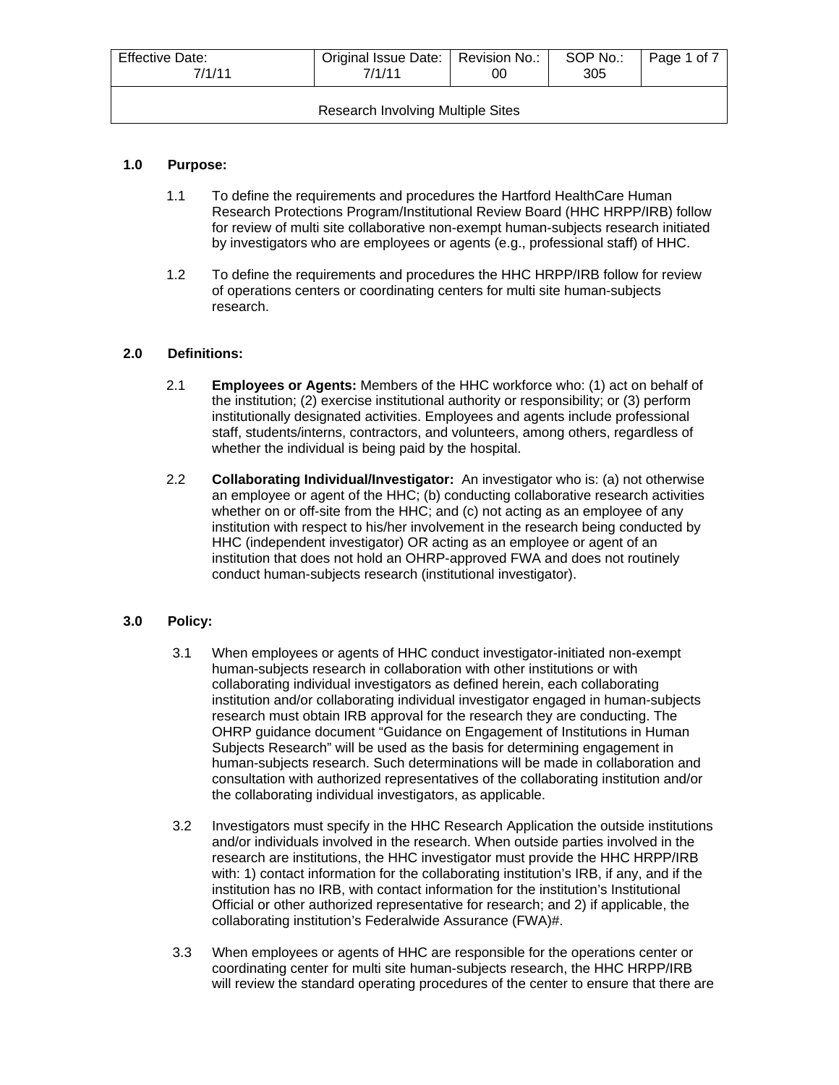| Effective Date:<br>7/1/11         | Original Issue Date:   Revision No.:<br>7/1/11 | 00 | SOP No.:<br>305 | Page 1 of 7 |
|-----------------------------------|------------------------------------------------|----|-----------------|-------------|
| Research Involving Multiple Sites |                                                |    |                 |             |

## **1.0 Purpose:**

- 1.1 To define the requirements and procedures the Hartford HealthCare Human Research Protections Program/Institutional Review Board (HHC HRPP/IRB) follow for review of multi site collaborative non-exempt human-subjects research initiated by investigators who are employees or agents (e.g., professional staff) of HHC.
- 1.2 To define the requirements and procedures the HHC HRPP/IRB follow for review of operations centers or coordinating centers for multi site human-subjects research.

## **2.0 Definitions:**

- 2.1 **Employees or Agents:** Members of the HHC workforce who: (1) act on behalf of the institution; (2) exercise institutional authority or responsibility; or (3) perform institutionally designated activities. Employees and agents include professional staff, students/interns, contractors, and volunteers, among others, regardless of whether the individual is being paid by the hospital.
- 2.2 **Collaborating Individual/Investigator:** An investigator who is: (a) not otherwise an employee or agent of the HHC; (b) conducting collaborative research activities whether on or off-site from the HHC; and (c) not acting as an employee of any institution with respect to his/her involvement in the research being conducted by HHC (independent investigator) OR acting as an employee or agent of an institution that does not hold an OHRP-approved FWA and does not routinely conduct human-subjects research (institutional investigator).

# **3.0 Policy:**

- 3.1 When employees or agents of HHC conduct investigator-initiated non-exempt human-subjects research in collaboration with other institutions or with collaborating individual investigators as defined herein, each collaborating institution and/or collaborating individual investigator engaged in human-subjects research must obtain IRB approval for the research they are conducting. The OHRP guidance document "Guidance on Engagement of Institutions in Human Subjects Research" will be used as the basis for determining engagement in human-subjects research. Such determinations will be made in collaboration and consultation with authorized representatives of the collaborating institution and/or the collaborating individual investigators, as applicable.
- 3.2 Investigators must specify in the HHC Research Application the outside institutions and/or individuals involved in the research. When outside parties involved in the research are institutions, the HHC investigator must provide the HHC HRPP/IRB with: 1) contact information for the collaborating institution's IRB, if any, and if the institution has no IRB, with contact information for the institution's Institutional Official or other authorized representative for research; and 2) if applicable, the collaborating institution's Federalwide Assurance (FWA)#.
- 3.3 When employees or agents of HHC are responsible for the operations center or coordinating center for multi site human-subjects research, the HHC HRPP/IRB will review the standard operating procedures of the center to ensure that there are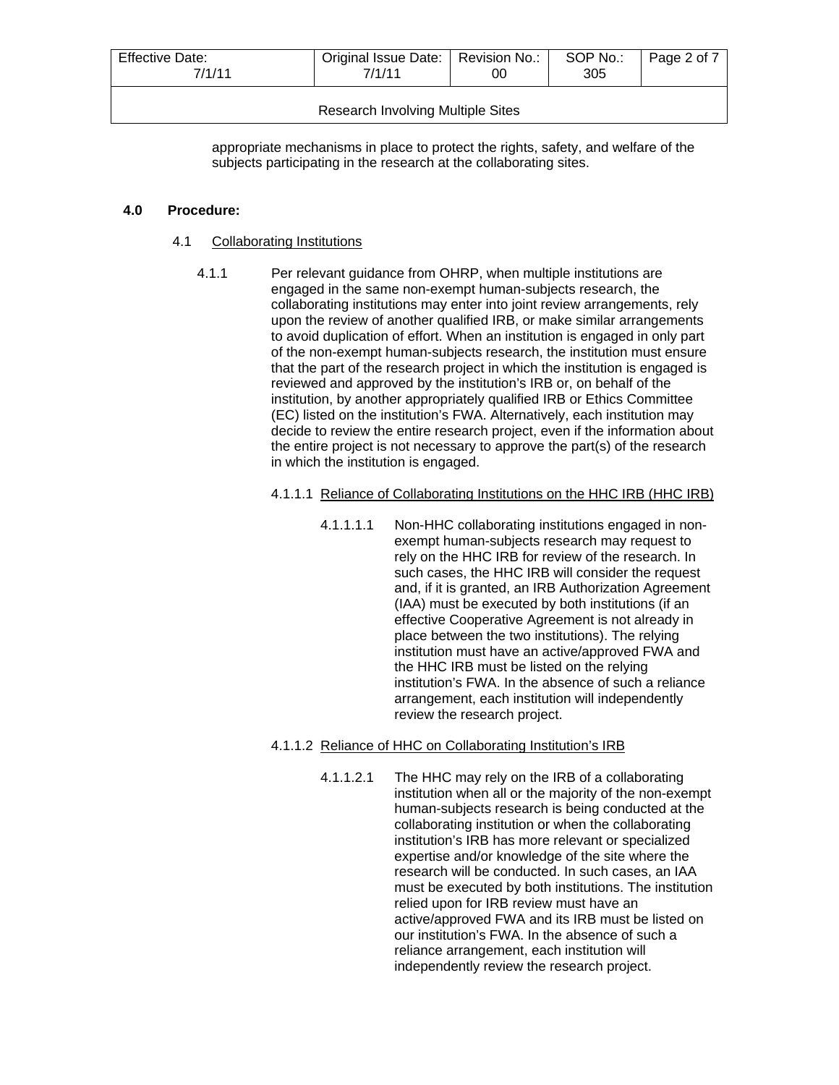| Effective Date:<br>7/1/11                | Original Issue Date:   Revision No.:<br>7/1/11 | OΟ | SOP No.:<br>305 | Page 2 of 7 |
|------------------------------------------|------------------------------------------------|----|-----------------|-------------|
| <b>Research Involving Multiple Sites</b> |                                                |    |                 |             |

appropriate mechanisms in place to protect the rights, safety, and welfare of the subjects participating in the research at the collaborating sites.

#### **4.0 Procedure:**

- 4.1 Collaborating Institutions
	- 4.1.1 Per relevant guidance from OHRP, when multiple institutions are engaged in the same non-exempt human-subjects research, the collaborating institutions may enter into joint review arrangements, rely upon the review of another qualified IRB, or make similar arrangements to avoid duplication of effort. When an institution is engaged in only part of the non-exempt human-subjects research, the institution must ensure that the part of the research project in which the institution is engaged is reviewed and approved by the institution's IRB or, on behalf of the institution, by another appropriately qualified IRB or Ethics Committee (EC) listed on the institution's FWA. Alternatively, each institution may decide to review the entire research project, even if the information about the entire project is not necessary to approve the part(s) of the research in which the institution is engaged.

## 4.1.1.1 Reliance of Collaborating Institutions on the HHC IRB (HHC IRB)

4.1.1.1.1 Non-HHC collaborating institutions engaged in nonexempt human-subjects research may request to rely on the HHC IRB for review of the research. In such cases, the HHC IRB will consider the request and, if it is granted, an IRB Authorization Agreement (IAA) must be executed by both institutions (if an effective Cooperative Agreement is not already in place between the two institutions). The relying institution must have an active/approved FWA and the HHC IRB must be listed on the relying institution's FWA. In the absence of such a reliance arrangement, each institution will independently review the research project.

## 4.1.1.2 Reliance of HHC on Collaborating Institution's IRB

4.1.1.2.1 The HHC may rely on the IRB of a collaborating institution when all or the majority of the non-exempt human-subjects research is being conducted at the collaborating institution or when the collaborating institution's IRB has more relevant or specialized expertise and/or knowledge of the site where the research will be conducted. In such cases, an IAA must be executed by both institutions. The institution relied upon for IRB review must have an active/approved FWA and its IRB must be listed on our institution's FWA. In the absence of such a reliance arrangement, each institution will independently review the research project.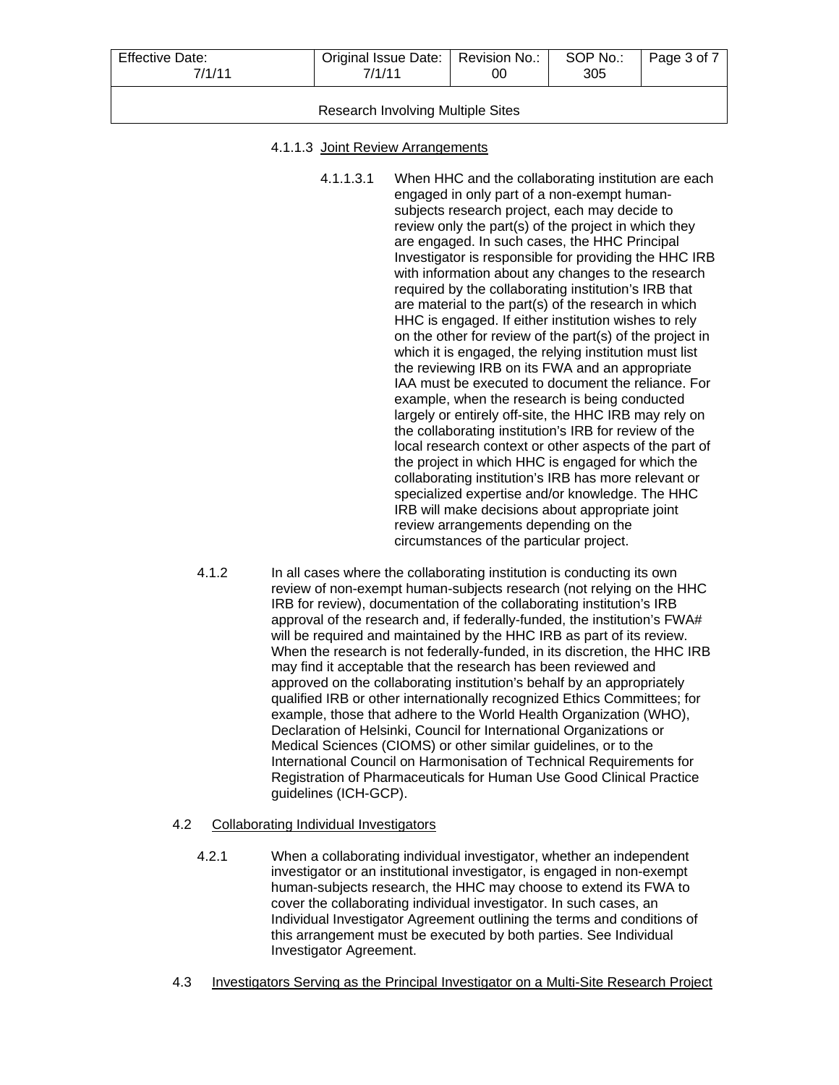| Effective Date:<br>7/1/11         | Original Issue Date:   Revision No.:  <br>7/1/11 | 00 | SOP No.:<br>305 | Page 3 of 7 |
|-----------------------------------|--------------------------------------------------|----|-----------------|-------------|
| Research Involving Multiple Sites |                                                  |    |                 |             |

#### 4.1.1.3 Joint Review Arrangements

4.1.1.3.1 When HHC and the collaborating institution are each engaged in only part of a non-exempt humansubjects research project, each may decide to review only the part(s) of the project in which they are engaged. In such cases, the HHC Principal Investigator is responsible for providing the HHC IRB with information about any changes to the research required by the collaborating institution's IRB that are material to the part(s) of the research in which HHC is engaged. If either institution wishes to rely on the other for review of the part(s) of the project in which it is engaged, the relying institution must list the reviewing IRB on its FWA and an appropriate IAA must be executed to document the reliance. For example, when the research is being conducted largely or entirely off-site, the HHC IRB may rely on the collaborating institution's IRB for review of the local research context or other aspects of the part of the project in which HHC is engaged for which the collaborating institution's IRB has more relevant or specialized expertise and/or knowledge. The HHC IRB will make decisions about appropriate joint review arrangements depending on the circumstances of the particular project.

4.1.2 In all cases where the collaborating institution is conducting its own review of non-exempt human-subjects research (not relying on the HHC IRB for review), documentation of the collaborating institution's IRB approval of the research and, if federally-funded, the institution's FWA# will be required and maintained by the HHC IRB as part of its review. When the research is not federally-funded, in its discretion, the HHC IRB may find it acceptable that the research has been reviewed and approved on the collaborating institution's behalf by an appropriately qualified IRB or other internationally recognized Ethics Committees; for example, those that adhere to the World Health Organization (WHO), Declaration of Helsinki, Council for International Organizations or Medical Sciences (CIOMS) or other similar guidelines, or to the International Council on Harmonisation of Technical Requirements for Registration of Pharmaceuticals for Human Use Good Clinical Practice guidelines (ICH-GCP).

## 4.2 Collaborating Individual Investigators

- 4.2.1 When a collaborating individual investigator, whether an independent investigator or an institutional investigator, is engaged in non-exempt human-subjects research, the HHC may choose to extend its FWA to cover the collaborating individual investigator. In such cases, an Individual Investigator Agreement outlining the terms and conditions of this arrangement must be executed by both parties. See Individual Investigator Agreement.
- 4.3 Investigators Serving as the Principal Investigator on a Multi-Site Research Project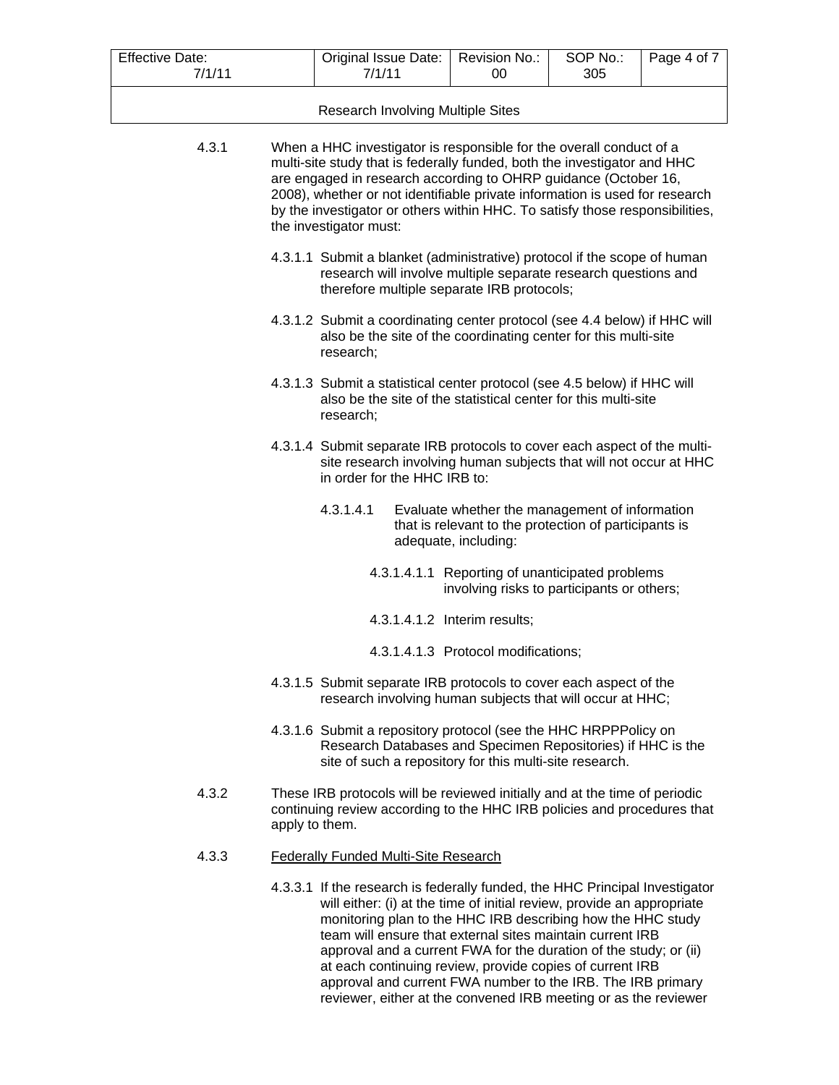| <b>Effective Date:</b><br>7/1/11 | Original Issue Date:<br>7/1/11                                                                                                                                                                                                                                                                                                                                                                                     | Revision No.:<br>00                                                                                                             | SOP No.:<br>305 | Page 4 of 7 |  |  |
|----------------------------------|--------------------------------------------------------------------------------------------------------------------------------------------------------------------------------------------------------------------------------------------------------------------------------------------------------------------------------------------------------------------------------------------------------------------|---------------------------------------------------------------------------------------------------------------------------------|-----------------|-------------|--|--|
|                                  | <b>Research Involving Multiple Sites</b>                                                                                                                                                                                                                                                                                                                                                                           |                                                                                                                                 |                 |             |  |  |
|                                  |                                                                                                                                                                                                                                                                                                                                                                                                                    |                                                                                                                                 |                 |             |  |  |
| 4.3.1                            | When a HHC investigator is responsible for the overall conduct of a<br>multi-site study that is federally funded, both the investigator and HHC<br>are engaged in research according to OHRP guidance (October 16,<br>2008), whether or not identifiable private information is used for research<br>by the investigator or others within HHC. To satisfy those responsibilities,<br>the investigator must:        |                                                                                                                                 |                 |             |  |  |
|                                  | 4.3.1.1 Submit a blanket (administrative) protocol if the scope of human<br>research will involve multiple separate research questions and<br>therefore multiple separate IRB protocols;                                                                                                                                                                                                                           |                                                                                                                                 |                 |             |  |  |
|                                  | 4.3.1.2 Submit a coordinating center protocol (see 4.4 below) if HHC will<br>also be the site of the coordinating center for this multi-site<br>research;                                                                                                                                                                                                                                                          |                                                                                                                                 |                 |             |  |  |
|                                  | 4.3.1.3 Submit a statistical center protocol (see 4.5 below) if HHC will<br>also be the site of the statistical center for this multi-site<br>research;                                                                                                                                                                                                                                                            |                                                                                                                                 |                 |             |  |  |
|                                  | 4.3.1.4 Submit separate IRB protocols to cover each aspect of the multi-<br>site research involving human subjects that will not occur at HHC<br>in order for the HHC IRB to:                                                                                                                                                                                                                                      |                                                                                                                                 |                 |             |  |  |
|                                  | 4.3.1.4.1                                                                                                                                                                                                                                                                                                                                                                                                          | Evaluate whether the management of information<br>that is relevant to the protection of participants is<br>adequate, including: |                 |             |  |  |
|                                  |                                                                                                                                                                                                                                                                                                                                                                                                                    | 4.3.1.4.1.1 Reporting of unanticipated problems<br>involving risks to participants or others;                                   |                 |             |  |  |
|                                  |                                                                                                                                                                                                                                                                                                                                                                                                                    | 4.3.1.4.1.2 Interim results;                                                                                                    |                 |             |  |  |
|                                  |                                                                                                                                                                                                                                                                                                                                                                                                                    | 4.3.1.4.1.3 Protocol modifications;                                                                                             |                 |             |  |  |
|                                  | 4.3.1.5 Submit separate IRB protocols to cover each aspect of the<br>research involving human subjects that will occur at HHC;                                                                                                                                                                                                                                                                                     |                                                                                                                                 |                 |             |  |  |
|                                  | 4.3.1.6 Submit a repository protocol (see the HHC HRPPPolicy on<br>Research Databases and Specimen Repositories) if HHC is the<br>site of such a repository for this multi-site research.                                                                                                                                                                                                                          |                                                                                                                                 |                 |             |  |  |
| 4.3.2                            | These IRB protocols will be reviewed initially and at the time of periodic<br>continuing review according to the HHC IRB policies and procedures that<br>apply to them.                                                                                                                                                                                                                                            |                                                                                                                                 |                 |             |  |  |
| 4.3.3                            | <b>Federally Funded Multi-Site Research</b>                                                                                                                                                                                                                                                                                                                                                                        |                                                                                                                                 |                 |             |  |  |
|                                  | 4.3.3.1 If the research is federally funded, the HHC Principal Investigator<br>will either: (i) at the time of initial review, provide an appropriate<br>monitoring plan to the HHC IRB describing how the HHC study<br>team will ensure that external sites maintain current IRB<br>approval and a current FWA for the duration of the study; or (ii)<br>at each continuing review, provide copies of current IRB |                                                                                                                                 |                 |             |  |  |

approval and current FWA number to the IRB. The IRB primary reviewer, either at the convened IRB meeting or as the reviewer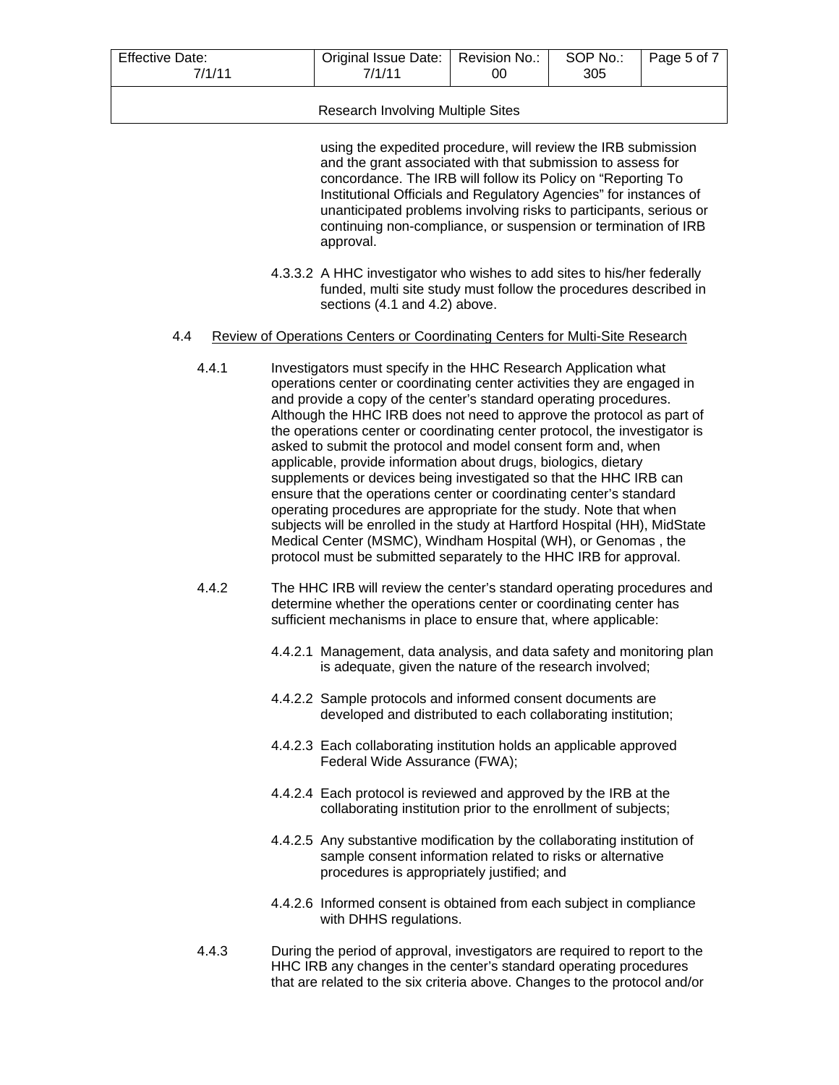| <b>Effective Date:</b><br>7/1/11 | Original Issue Date:   Revision No.:<br>7/1/11 | 00 | SOP No.:<br>305 | Page 5 of 7 |
|----------------------------------|------------------------------------------------|----|-----------------|-------------|
|                                  |                                                |    |                 |             |

#### Research Involving Multiple Sites

using the expedited procedure, will review the IRB submission and the grant associated with that submission to assess for concordance. The IRB will follow its Policy on "Reporting To Institutional Officials and Regulatory Agencies" for instances of unanticipated problems involving risks to participants, serious or continuing non-compliance, or suspension or termination of IRB approval.

4.3.3.2 A HHC investigator who wishes to add sites to his/her federally funded, multi site study must follow the procedures described in sections (4.1 and 4.2) above.

#### 4.4 Review of Operations Centers or Coordinating Centers for Multi-Site Research

- 4.4.1 Investigators must specify in the HHC Research Application what operations center or coordinating center activities they are engaged in and provide a copy of the center's standard operating procedures. Although the HHC IRB does not need to approve the protocol as part of the operations center or coordinating center protocol, the investigator is asked to submit the protocol and model consent form and, when applicable, provide information about drugs, biologics, dietary supplements or devices being investigated so that the HHC IRB can ensure that the operations center or coordinating center's standard operating procedures are appropriate for the study. Note that when subjects will be enrolled in the study at Hartford Hospital (HH), MidState Medical Center (MSMC), Windham Hospital (WH), or Genomas , the protocol must be submitted separately to the HHC IRB for approval.
- 4.4.2 The HHC IRB will review the center's standard operating procedures and determine whether the operations center or coordinating center has sufficient mechanisms in place to ensure that, where applicable:
	- 4.4.2.1 Management, data analysis, and data safety and monitoring plan is adequate, given the nature of the research involved;
	- 4.4.2.2 Sample protocols and informed consent documents are developed and distributed to each collaborating institution;
	- 4.4.2.3 Each collaborating institution holds an applicable approved Federal Wide Assurance (FWA);
	- 4.4.2.4 Each protocol is reviewed and approved by the IRB at the collaborating institution prior to the enrollment of subjects;
	- 4.4.2.5 Any substantive modification by the collaborating institution of sample consent information related to risks or alternative procedures is appropriately justified; and
	- 4.4.2.6 Informed consent is obtained from each subject in compliance with DHHS regulations.
- 4.4.3 During the period of approval, investigators are required to report to the HHC IRB any changes in the center's standard operating procedures that are related to the six criteria above. Changes to the protocol and/or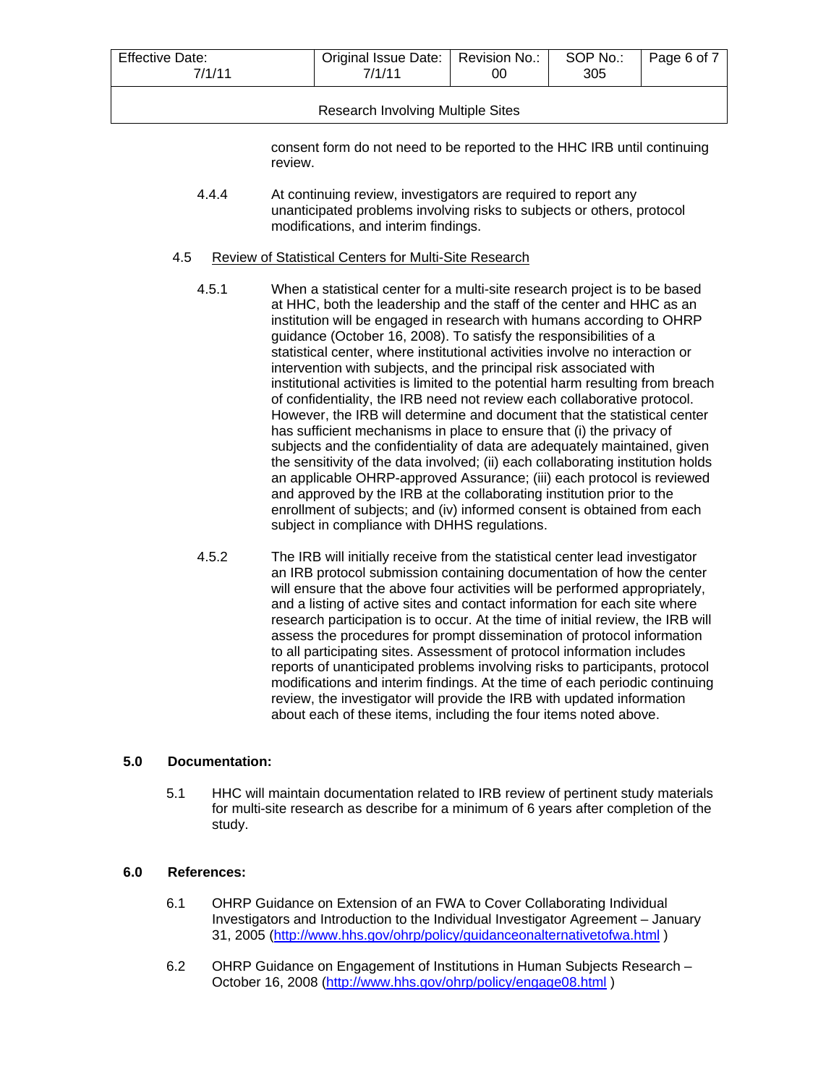| Effective Date:<br>7/1/11         | Original Issue Date:   Revision No.:<br>7/1/11 | 00 | SOP No.:<br>305 | Page 6 of 7 |
|-----------------------------------|------------------------------------------------|----|-----------------|-------------|
| Research Involving Multiple Sites |                                                |    |                 |             |

consent form do not need to be reported to the HHC IRB until continuing review.

4.4.4 At continuing review, investigators are required to report any unanticipated problems involving risks to subjects or others, protocol modifications, and interim findings.

#### 4.5 Review of Statistical Centers for Multi-Site Research

- 4.5.1 When a statistical center for a multi-site research project is to be based at HHC, both the leadership and the staff of the center and HHC as an institution will be engaged in research with humans according to OHRP guidance (October 16, 2008). To satisfy the responsibilities of a statistical center, where institutional activities involve no interaction or intervention with subjects, and the principal risk associated with institutional activities is limited to the potential harm resulting from breach of confidentiality, the IRB need not review each collaborative protocol. However, the IRB will determine and document that the statistical center has sufficient mechanisms in place to ensure that (i) the privacy of subjects and the confidentiality of data are adequately maintained, given the sensitivity of the data involved; (ii) each collaborating institution holds an applicable OHRP-approved Assurance; (iii) each protocol is reviewed and approved by the IRB at the collaborating institution prior to the enrollment of subjects; and (iv) informed consent is obtained from each subject in compliance with DHHS regulations.
- 4.5.2 The IRB will initially receive from the statistical center lead investigator an IRB protocol submission containing documentation of how the center will ensure that the above four activities will be performed appropriately, and a listing of active sites and contact information for each site where research participation is to occur. At the time of initial review, the IRB will assess the procedures for prompt dissemination of protocol information to all participating sites. Assessment of protocol information includes reports of unanticipated problems involving risks to participants, protocol modifications and interim findings. At the time of each periodic continuing review, the investigator will provide the IRB with updated information about each of these items, including the four items noted above.

## **5.0 Documentation:**

5.1 HHC will maintain documentation related to IRB review of pertinent study materials for multi-site research as describe for a minimum of 6 years after completion of the study.

## **6.0 References:**

- 6.1 OHRP Guidance on Extension of an FWA to Cover Collaborating Individual Investigators and Introduction to the Individual Investigator Agreement – January 31, 2005 (<http://www.hhs.gov/ohrp/policy/guidanceonalternativetofwa.html>)
- 6.2 OHRP Guidance on Engagement of Institutions in Human Subjects Research October 16, 2008 [\(http://www.hhs.gov/ohrp/policy/engage08.html](http://www.hhs.gov/ohrp/policy/engage08.html) )